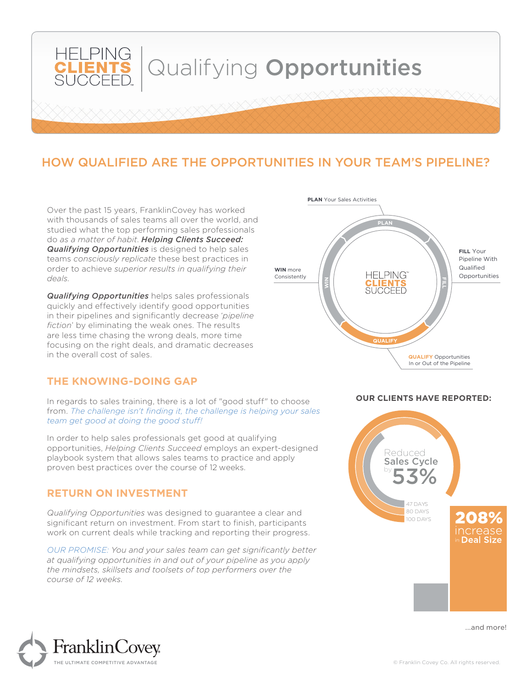

# HOW QUALIFIED ARE THE OPPORTUNITIES IN YOUR TEAM'S PIPELINE?

Over the past 15 years, FranklinCovey has worked with thousands of sales teams all over the world, and studied what the top performing sales professionals do *as a matter of habit*. *Helping Clients Succeed: Qualifying Opportunities* is designed to help sales teams *consciously replicate* these best practices in order to achieve *superior results in qualifying their deals.*

*Qualifying Opportunities* helps sales professionals quickly and effectively identify good opportunities in their pipelines and significantly decrease '*pipeline fiction*' by eliminating the weak ones. The results are less time chasing the wrong deals, more time focusing on the right deals, and dramatic decreases in the overall cost of sales.

### **THE KNOWING-DOING GAP**

In regards to sales training, there is a lot of "good stuff" to choose from. *The challenge isn't finding it, the challenge is helping your sales team get good at doing the good stuff!* 

In order to help sales professionals get good at qualifying opportunities, *Helping Clients Succeed* employs an expert-designed playbook system that allows sales teams to practice and apply proven best practices over the course of 12 weeks.

#### **RETURN ON INVESTMENT**

*Qualifying Opportunities* was designed to guarantee a clear and significant return on investment. From start to finish, participants work on current deals while tracking and reporting their progress.

*OUR PROMISE: You and your sales team can get significantly better at qualifying opportunities in and out of your pipeline as you apply the mindsets, skillsets and toolsets of top performers over the course of 12 weeks.*



#### **OUR CLIENTS HAVE REPORTED:**



...and more!